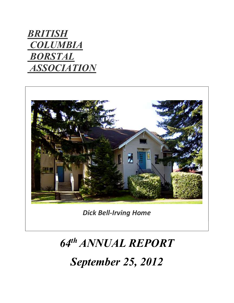## **BRITISH COLUMBIA**  BORSTAL **ASSOCIATION**



Dick Bell-Irving Home

# 64th ANNUAL REPORT

September 25, 2012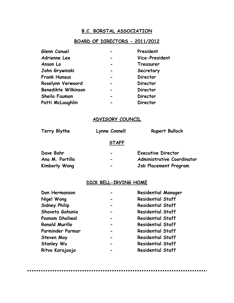#### B.C. BORSTAL ASSOCIATION

#### BOARD OF DIRECTORS - 2011/2012

| Glenn Canuel               | President       |
|----------------------------|-----------------|
| Adrienne Lee               | Vice-President  |
| Anson Lo                   | Treasurer       |
| John Grywinski             | Secretary       |
| <b>Frank Hunaus</b>        | <b>Director</b> |
| Roselynn Verwoord          | <b>Director</b> |
| <b>Benedikte Wilkinson</b> | <b>Director</b> |
| Sheila Fauman              | <b>Director</b> |
| Patti McLaughlin           | <b>Director</b> |

#### ADVISORY COUNCIL

| Terry Blythe    | Lynne Connell                | <b>Rupert Bullock</b>             |
|-----------------|------------------------------|-----------------------------------|
|                 | <b>STAFF</b>                 |                                   |
| Dave Bahr       | $\qquad \qquad$              | <b>Executive Director</b>         |
| Ana M. Portillo | $\qquad \qquad \blacksquare$ | <b>Administrative Coordinator</b> |
| Kimberly Wong   | -                            | Job Placement Program             |

#### DICK BELL-IRVING HOME

| Don Hermanson         | <b>Residential Manager</b> |
|-----------------------|----------------------------|
| Nigel Wong            | <b>Residential Staff</b>   |
| <b>Sidney Philip</b>  | <b>Residential Staff</b>   |
| Shaveta Gahunia       | <b>Residential Staff</b>   |
| Poonam Dhaliwal       | <b>Residential Staff</b>   |
| <b>Ronald Murillo</b> | <b>Residential Staff</b>   |
| Parminder Parmar      | <b>Residential Staff</b>   |
| Steven May            | <b>Residential Staff</b>   |
| <b>Stanley Wu</b>     | <b>Residential Staff</b>   |
| Ritva Karajaoja       | <b>Residential Staff</b>   |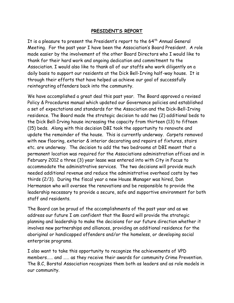#### PRESIDENT'S REPORT

It is a pleasure to present the President's report to the  $64<sup>th</sup>$  Annual General Meeting. For the past year I have been the Association's Board President. A role made easier by the involvement of the other Board Directors who I would like to thank for their hard work and ongoing dedication and commitment to the Association. I would also like to thank all of our staffs who work diligently on a daily basis to support our residents at the Dick Bell-Irving half-way house. It is through their efforts that have helped us achieve our goal of successfully reintegrating offenders back into the community.

We have accomplished a great deal this past year. The Board approved a revised Policy & Procedures manual which updated our Governance policies and established a set of expectations and standards for the Association and the Dick-Bell-Irving residence. The Board made the strategic decision to add two (2) additional beds to the Dick Bell-Irving house increasing the capacity from thirteen (13) to fifteen (15) beds. Along with this decision DBI took the opportunity to renovate and update the remainder of the house. This is currently underway. Carpets removed with new flooring, exterior & interior decorating and repairs of fixtures, stairs etc. are underway. The decision to add the two bedrooms at DBI meant that a permanent location was required for the Associations administration offices and in February 2012 a three (3) year lease was entered into with City in Focus to accommodate the administrative services. The two decisions will provide much needed additional revenue and reduce the administrative overhead costs by two thirds (2/3). During the fiscal year a new House Manager was hired, Don Hermanson who will oversee the renovations and be responsible to provide the leadership necessary to provide a secure, safe and supportive environment for both staff and residents.

The Board can be proud of the accomplishments of the past year and as we address our future I am confident that the Board will provide the strategic planning and leadership to make the decisions for our future direction whether it involves new partnerships and alliances, providing an additional residence for the aboriginal or handicapped offenders and/or the homeless, or developing social enterprise programs.

I also want to take this opportunity to recognize the achievements of VPD members…… and …… as they receive their awards for community Crime Prevention. The B.C, Borstal Association recognizes them both as leaders and as role models in our community.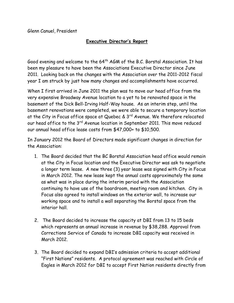Glenn Canuel, President

#### Executive Director's Report

Good evening and welcome to the 64<sup>th</sup> AGM of the B.C. Borstal Association. It has been my pleasure to have been the Associations Executive Director since June 2011. Looking back on the changes with the Association over the 2011-2012 fiscal year I am struck by just how many changes and accomplishments have occurred.

When I first arrived in June 2011 the plan was to move our head office from the very expensive Broadway Avenue location to a yet to be renovated space in the basement of the Dick Bell-Irving Half-Way house. As an interim step, until the basement renovations were completed, we were able to secure a temporary location at the City in Focus office space at Quebec &  $3<sup>rd</sup>$  Avenue. We therefore relocated our head office to the 3<sup>rd</sup> Avenue location in September 2011. This move reduced our annual head office lease costs from \$47,000+ to \$10,500.

In January 2012 the Board of Directors made significant changes in direction for the Association:

- 1. The Board decided that the BC Borstal Association head office would remain at the City in Focus location and the Executive Director was ask to negotiate a longer term lease. A new three (3) year lease was signed with City in Focus in March 2012. The new lease kept the annual costs approximately the same as what was in place during the interim period with the Association continuing to have use of the boardroom, meeting room and kitchen. City in Focus also agreed to install windows on the exterior wall, to increase our working space and to install a wall separating the Borstal space from the interior hall.
- 2. The Board decided to increase the capacity at DBI from 13 to 15 beds which represents an annual increase in revenue by \$38,288. Approval from Corrections Service of Canada to increase DBI capacity was received in March 2012.
- 3. The Board decided to expand DBI's admission criteria to accept additional "First Nations" residents. A protocol agreement was reached with Circle of Eagles in March 2012 for DBI to accept First Nation residents directly from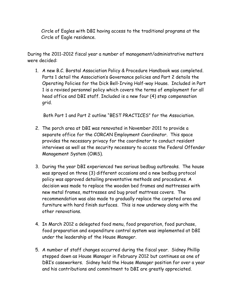Circle of Eagles with DBI having access to the traditional programs at the Circle of Eagle residence.

During the 2011-2012 fiscal year a number of management/administrative matters were decided:

1. A new B.C. Borstal Association Policy & Procedure Handbook was completed. Parts 1 detail the Association's Governance policies and Part 2 details the Operating Policies for the Dick Bell-Irving Half-way House. Included in Part 1 is a revised personnel policy which covers the terms of employment for all head office and DBI staff. Included is a new four (4) step compensation grid.

Both Part 1 and Part 2 outline "BEST PRACTICES" for the Association.

- 2. The porch area at DBI was renovated in November 2011 to provide a separate office for the CORCAN Employment Coordinator. This space provides the necessary privacy for the coordinator to conduct resident interviews as well as the security necessary to access the Federal Offender Management System (OMS).
- 3. During the year DBI experienced two serious bedbug outbreaks. The house was sprayed on three (3) different occasions and a new bedbug protocol policy was approved detailing preventative methods and procedures. A decision was made to replace the wooden bed frames and mattresses with new metal frames, mattresses and bug proof mattress covers. The recommendation was also made to gradually replace the carpeted area and furniture with hard finish surfaces. This is now underway along with the other renovations.
- 4. In March 2012 a delegated food menu, food preparation, food purchase, food preparation and expenditure control system was implemented at DBI under the leadership of the House Manager.
- 5. A number of staff changes occurred during the fiscal year. Sidney Phillip stepped down as House Manager in February 2012 but continues as one of DBI's caseworkers. Sidney held the House Manager position for over a year and his contributions and commitment to DBI are greatly appreciated.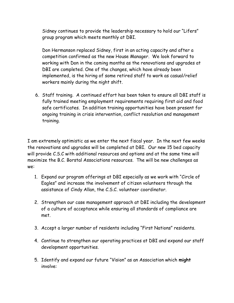Sidney continues to provide the leadership necessary to hold our "Lifers" group program which meets monthly at DBI.

Don Hermanson replaced Sidney, first in an acting capacity and after a competition confirmed as the new House Manager. We look forward to working with Don in the coming months as the renovations and upgrades at DBI are completed. One of the changes, which have already been implemented, is the hiring of some retired staff to work as casual/relief workers mainly during the night shift.

6. Staff training. A continued effort has been taken to ensure all DBI staff is fully trained meeting employment requirements requiring first aid and food safe certificates. In addition training opportunities have been present for ongoing training in crisis intervention, conflict resolution and management training.

I am extremely optimistic as we enter the next fiscal year. In the next few weeks the renovations and upgrades will be completed at DBI. Our new 15 bed capacity will provide C.S.C with additional resources and options and at the same time will maximize the B.C. Borstal Associations resources. The will be new challenges as we:

- 1. Expand our program offerings at DBI especially as we work with "Circle of Eagles" and increase the involvement of citizen volunteers through the assistance of Cindy Allan, the C.S.C. volunteer coordinator.
- 2. Strengthen our case management approach at DBI including the development of a culture of acceptance while ensuring all standards of compliance are met.
- 3. Accept a larger number of residents including "First Nations" residents.
- 4. Continue to strengthen our operating practices at DBI and expand our staff development opportunities.
- 5. Identify and expand our future "Vision" as an Association which might involve: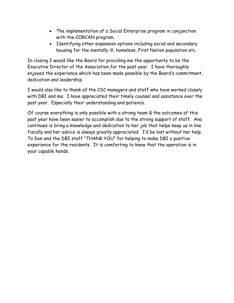- The implementation of a Social Enterprise program in conjunction with the CORCAN program.
- Identifying other expansion options including social and secondary housing for the mentally ill, homeless, First Nation population etc.

In closing I would like the Board for providing me the opportunity to be the Executive Director of the Association for the past year. I have thoroughly enjoyed the experience which has been made possible by the Board's commitment, dedication and leadership.

I would also like to thank all the CSC managers and staff who have worked closely with DBI and me. I have appreciated their timely counsel and assistance over the past year. Especially their understanding and patience.

Of course everything is only possible with a strong team & the outcomes of this past year have been easier to accomplish due to the strong support of staff. Ana continues is bring a knowledge and dedication to her job that helps keep us in line fiscally and her advice is always greatly appreciated. I'd be lost without her help. To Don and the DBI staff "THANK YOU" for helping to make DBI a positive experience for the residents. It is comforting to know that the operation is in your capable hands.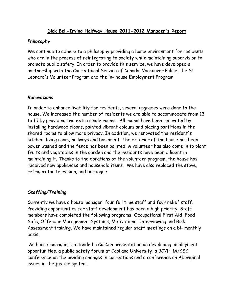#### Dick Bell-Irving Halfway House 2011-2012 Manager's Report

#### Philosophy

We continue to adhere to a philosophy providing a home environment for residents who are in the process of reintegrating to society while maintaining supervision to promote public safety. In order to provide this service, we have developed a partnership with the Correctional Service of Canada, Vancouver Police, the St Leonard's Volunteer Program and the in- house Employment Program.

#### **Renovations**

In order to enhance livability for residents, several upgrades were done to the house. We increased the number of residents we are able to accommodate from 13 to 15 by providing two extra single rooms. All rooms have been renovated by installing hardwood floors, painted vibrant colours and placing partitions in the shared rooms to allow more privacy. In addition, we renovated the resident's kitchen, living room, hallways and basement. The exterior of the house has been power washed and the fence has been painted. A volunteer has also come in to plant fruits and vegetables in the garden and the residents have been diligent in maintaining it. Thanks to the donations of the volunteer program, the house has received new appliances and household items. We have also replaced the stove, refrigerator television, and barbeque.

#### Staffing/Training

Currently we have a house manager, four full time staff and four relief staff. Providing opportunities for staff development has been a high priority. Staff members have completed the following programs: Occupational First Aid, Food Safe, Offender Management Systems, Motivational Interviewing and Risk Assessment training. We have maintained regular staff meetings on a bi- monthly basis.

 As house manager, I attended a CorCan presentation on developing employment opportunities, a public safety forum at Capilano University, a BCYHHA/CSC conference on the pending changes in corrections and a conference on Aboriginal issues in the justice system.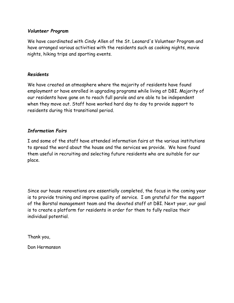#### Volunteer Program

We have coordinated with Cindy Allen of the St. Leonard's Volunteer Program and have arranged various activities with the residents such as cooking nights, movie nights, hiking trips and sporting events.

#### Residents

We have created an atmosphere where the majority of residents have found employment or have enrolled in upgrading programs while living at DBI. Majority of our residents have gone on to reach full parole and are able to be independent when they move out. Staff have worked hard day to day to provide support to residents during this transitional period.

#### Information Fairs

I and some of the staff have attended information fairs at the various institutions to spread the word about the house and the services we provide. We have found them useful in recruiting and selecting future residents who are suitable for our place.

Since our house renovations are essentially completed, the focus in the coming year is to provide training and improve quality of service. I am grateful for the support of the Borstal management team and the devoted staff at DBI. Next year, our goal is to create a platform for residents in order for them to fully realize their individual potential.

Thank you,

Don Hermanson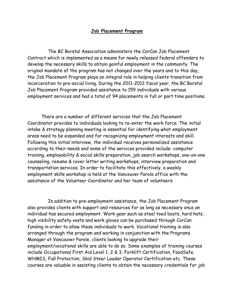#### Job Placement Program

 The BC Borstal Association administers the CorCan Job Placement Contract which is implemented as a means for newly released federal offenders to develop the necessary skills to obtain gainful employment in the community. The original mandate of the program has not changed over the years and to this day, the Job Placement Program plays an integral role in helping clients transition from incarceration to pro-social living. During the 2011-2012 fiscal year, the BC Borstal Job Placement Program provided assistance to 159 individuals with various employment services and had a total of 94 placements in full or part time positions.

There are a number of different services that the Job Placement Coordinator provides to individuals looking to re-enter the work force. The initial intake & strategy planning meeting is essential for identifying what employment areas need to be expanded and for recognizing employment interests and skill. Following this initial interview, the individual receives personalized assistance according to their needs and some of the services provided include: computer training, employability & social skills preparation, job search workshops, one-on-one counseling, resume & cover letter writing workshops, interview preparation and transportation services. In order to facilitate this effectively, a weekly employment skills workshop is held at the Vancouver Parole office with the assistance of the Volunteer Coordinator and her team of volunteers.

 In addition to pre-employment assistance, the Job Placement Program also provides clients with support and resources for as long as necessary once an individual has secured employment. Work gear such as steel toed boots, hard hats, high visibility safety vests and work gloves can be purchased through CorCan funding in order to allow these individuals to work. Vocational training is also arranged through the program and working in conjunction with the Programs Manager at Vancouver Parole, clients looking to upgrade their employment/vocational skills are able to do so. Some examples of training courses include Occupational First Aid Level 1, 2 & 3, Forklift Certification, FoodSafe, WHMIS, Fall Protection, Skid Steer Loader Operator Certification etc. These courses are valuable in assisting clients to obtain the necessary credentials for job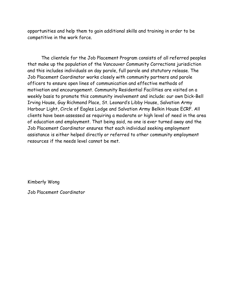opportunities and help them to gain additional skills and training in order to be competitive in the work force.

The clientele for the Job Placement Program consists of all referred peoples that make up the population of the Vancouver Community Corrections jurisdiction and this includes individuals on day parole, full parole and statutory release. The Job Placement Coordinator works closely with community partners and parole officers to ensure open lines of communication and effective methods of motivation and encouragement. Community Residential Facilities are visited on a weekly basis to promote this community involvement and include: our own Dick-Bell Irving House, Guy Richmond Place, St. Leonard's Libby House, Salvation Army Harbour Light, Circle of Eagles Lodge and Salvation Army Belkin House ECRF. All clients have been assessed as requiring a moderate or high level of need in the area of education and employment. That being said, no one is ever turned away and the Job Placement Coordinator ensures that each individual seeking employment assistance is either helped directly or referred to other community employment resources if the needs level cannot be met.

Kimberly Wong

Job Placement Coordinator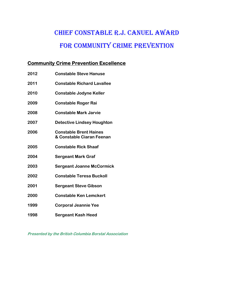### Chief Constable R.J. Canuel awaRd FOR COMMUNITY CRIME PREVENTION

#### Community Crime Prevention Excellence

| 2012 | <b>Constable Steve Hanuse</b>                              |
|------|------------------------------------------------------------|
| 2011 | <b>Constable Richard Lavallee</b>                          |
| 2010 | <b>Constable Jodyne Keller</b>                             |
| 2009 | <b>Constable Roger Rai</b>                                 |
| 2008 | <b>Constable Mark Jarvie</b>                               |
| 2007 | <b>Detective Lindsey Houghton</b>                          |
| 2006 | <b>Constable Brent Haines</b><br>& Constable Ciaran Feenan |
| 2005 | <b>Constable Rick Shaaf</b>                                |
| 2004 | <b>Sergeant Mark Graf</b>                                  |
| 2003 | <b>Sergeant Joanne McCormick</b>                           |
| 2002 | <b>Constable Teresa Buckoll</b>                            |
| 2001 | <b>Sergeant Steve Gibson</b>                               |
| 2000 | <b>Constable Ken Lemckert</b>                              |
| 1999 | <b>Corporal Jeannie Yee</b>                                |
| 1998 | Sergeant Kash Heed                                         |

Presented by the British Columbia Borstal Association